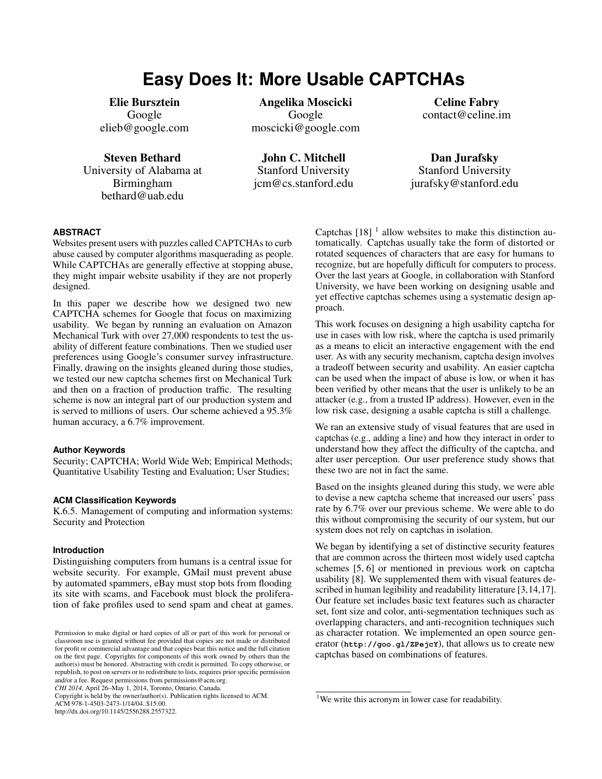# **Easy Does It: More Usable CAPTCHAs**

Elie Bursztein Google elieb@google.com

Steven Bethard University of Alabama at Birmingham bethard@uab.edu

Angelika Moscicki Google moscicki@google.com

John C. Mitchell Stanford University jcm@cs.stanford.edu

Celine Fabry contact@celine.im

Dan Jurafsky Stanford University jurafsky@stanford.edu

# **ABSTRACT**

Websites present users with puzzles called CAPTCHAs to curb abuse caused by computer algorithms masquerading as people. While CAPTCHAs are generally effective at stopping abuse, they might impair website usability if they are not properly designed.

In this paper we describe how we designed two new CAPTCHA schemes for Google that focus on maximizing usability. We began by running an evaluation on Amazon Mechanical Turk with over 27,000 respondents to test the usability of different feature combinations. Then we studied user preferences using Google's consumer survey infrastructure. Finally, drawing on the insights gleaned during those studies, we tested our new captcha schemes first on Mechanical Turk and then on a fraction of production traffic. The resulting scheme is now an integral part of our production system and is served to millions of users. Our scheme achieved a 95.3% human accuracy, a 6.7% improvement.

#### **Author Keywords**

Security; CAPTCHA; World Wide Web; Empirical Methods; Quantitative Usability Testing and Evaluation; User Studies;

# **ACM Classification Keywords**

K.6.5. Management of computing and information systems: Security and Protection

# **Introduction**

Distinguishing computers from humans is a central issue for website security. For example, GMail must prevent abuse by automated spammers, eBay must stop bots from flooding its site with scams, and Facebook must block the proliferation of fake profiles used to send spam and cheat at games.

*CHI 2014*, April 26–May 1, 2014, Toronto, Ontario, Canada.

Copyright is held by the owner/author(s). Publication rights licensed to ACM. ACM 978-1-4503-2473-1/14/04..\$15.00.

http://dx.doi.org/10.1145/2556288.2557322.

Captchas  $[18]$ <sup>1</sup> allow websites to make this distinction automatically. Captchas usually take the form of distorted or rotated sequences of characters that are easy for humans to recognize, but are hopefully difficult for computers to process. Over the last years at Google, in collaboration with Stanford University, we have been working on designing usable and yet effective captchas schemes using a systematic design approach.

This work focuses on designing a high usability captcha for use in cases with low risk, where the captcha is used primarily as a means to elicit an interactive engagement with the end user. As with any security mechanism, captcha design involves a tradeoff between security and usability. An easier captcha can be used when the impact of abuse is low, or when it has been verified by other means that the user is unlikely to be an attacker (e.g., from a trusted IP address). However, even in the low risk case, designing a usable captcha is still a challenge.

We ran an extensive study of visual features that are used in captchas (e.g., adding a line) and how they interact in order to understand how they affect the difficulty of the captcha, and alter user perception. Our user preference study shows that these two are not in fact the same.

Based on the insights gleaned during this study, we were able to devise a new captcha scheme that increased our users' pass rate by 6.7% over our previous scheme. We were able to do this without compromising the security of our system, but our system does not rely on captchas in isolation.

We began by identifying a set of distinctive security features that are common across the thirteen most widely used captcha schemes [5, 6] or mentioned in previous work on captcha usability [8]. We supplemented them with visual features described in human legibility and readability litterature [3,14,17]. Our feature set includes basic text features such as character set, font size and color, anti-segmentation techniques such as overlapping characters, and anti-recognition techniques such as character rotation. We implemented an open source generator (**http://goo.gl/ZPejcY**), that allows us to create new captchas based on combinations of features.

Permission to make digital or hard copies of all or part of this work for personal or classroom use is granted without fee provided that copies are not made or distributed for profit or commercial advantage and that copies bear this notice and the full citation on the first page. Copyrights for components of this work owned by others than the author(s) must be honored. Abstracting with credit is permitted. To copy otherwise, or republish, to post on servers or to redistribute to lists, requires prior specific permission and/or a fee. Request permissions from permissions@acm.org.

<sup>&</sup>lt;sup>1</sup>We write this acronym in lower case for readability.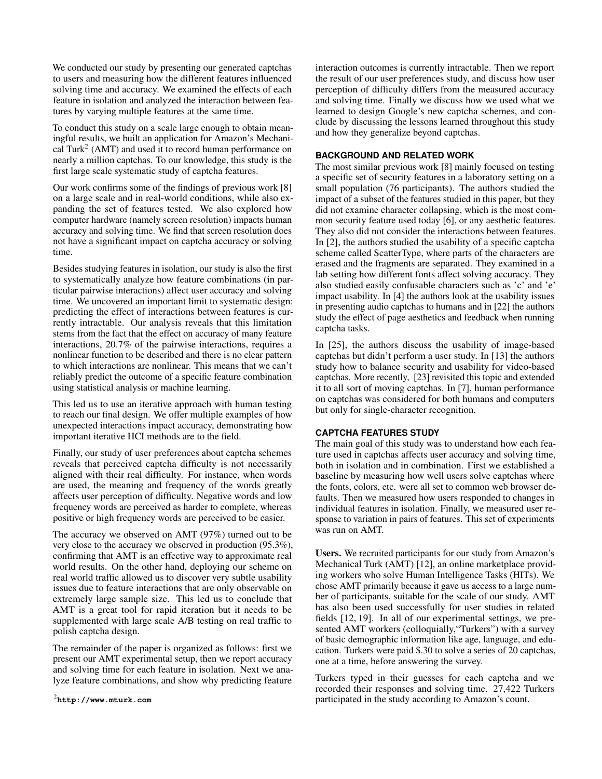We conducted our study by presenting our generated captchas to users and measuring how the different features influenced solving time and accuracy. We examined the effects of each feature in isolation and analyzed the interaction between features by varying multiple features at the same time.

To conduct this study on a scale large enough to obtain meaningful results, we built an application for Amazon's Mechanical Turk<sup>2</sup> (AMT) and used it to record human performance on nearly a million captchas. To our knowledge, this study is the first large scale systematic study of captcha features.

Our work confirms some of the findings of previous work [8] on a large scale and in real-world conditions, while also expanding the set of features tested. We also explored how computer hardware (namely screen resolution) impacts human accuracy and solving time. We find that screen resolution does not have a significant impact on captcha accuracy or solving time.

Besides studying features in isolation, our study is also the first to systematically analyze how feature combinations (in particular pairwise interactions) affect user accuracy and solving time. We uncovered an important limit to systematic design: predicting the effect of interactions between features is currently intractable. Our analysis reveals that this limitation stems from the fact that the effect on accuracy of many feature interactions, 20.7% of the pairwise interactions, requires a nonlinear function to be described and there is no clear pattern to which interactions are nonlinear. This means that we can't reliably predict the outcome of a specific feature combination using statistical analysis or machine learning.

This led us to use an iterative approach with human testing to reach our final design. We offer multiple examples of how unexpected interactions impact accuracy, demonstrating how important iterative HCI methods are to the field.

Finally, our study of user preferences about captcha schemes reveals that perceived captcha difficulty is not necessarily aligned with their real difficulty. For instance, when words are used, the meaning and frequency of the words greatly affects user perception of difficulty. Negative words and low frequency words are perceived as harder to complete, whereas positive or high frequency words are perceived to be easier.

The accuracy we observed on AMT (97%) turned out to be very close to the accuracy we observed in production (95.3%), confirming that AMT is an effective way to approximate real world results. On the other hand, deploying our scheme on real world traffic allowed us to discover very subtle usability issues due to feature interactions that are only observable on extremely large sample size. This led us to conclude that AMT is a great tool for rapid iteration but it needs to be supplemented with large scale A/B testing on real traffic to polish captcha design.

The remainder of the paper is organized as follows: first we present our AMT experimental setup, then we report accuracy and solving time for each feature in isolation. Next we analyze feature combinations, and show why predicting feature

interaction outcomes is currently intractable. Then we report the result of our user preferences study, and discuss how user perception of difficulty differs from the measured accuracy and solving time. Finally we discuss how we used what we learned to design Google's new captcha schemes, and conclude by discussing the lessons learned throughout this study and how they generalize beyond captchas.

# **BACKGROUND AND RELATED WORK**

The most similar previous work [8] mainly focused on testing a specific set of security features in a laboratory setting on a small population (76 participants). The authors studied the impact of a subset of the features studied in this paper, but they did not examine character collapsing, which is the most common security feature used today [6], or any aesthetic features. They also did not consider the interactions between features. In [2], the authors studied the usability of a specific captcha scheme called ScatterType, where parts of the characters are erased and the fragments are separated. They examined in a lab setting how different fonts affect solving accuracy. They also studied easily confusable characters such as 'c' and 'e' impact usability. In [4] the authors look at the usability issues in presenting audio captchas to humans and in [22] the authors study the effect of page aesthetics and feedback when running captcha tasks.

In [25], the authors discuss the usability of image-based captchas but didn't perform a user study. In [13] the authors study how to balance security and usability for video-based captchas. More recently, [23] revisited this topic and extended it to all sort of moving captchas. In [7], human performance on captchas was considered for both humans and computers but only for single-character recognition.

# **CAPTCHA FEATURES STUDY**

The main goal of this study was to understand how each feature used in captchas affects user accuracy and solving time, both in isolation and in combination. First we established a baseline by measuring how well users solve captchas where the fonts, colors, etc. were all set to common web browser defaults. Then we measured how users responded to changes in individual features in isolation. Finally, we measured user response to variation in pairs of features. This set of experiments was run on AMT.

Users. We recruited participants for our study from Amazon's Mechanical Turk (AMT) [12], an online marketplace providing workers who solve Human Intelligence Tasks (HITs). We chose AMT primarily because it gave us access to a large number of participants, suitable for the scale of our study. AMT has also been used successfully for user studies in related fields [12, 19]. In all of our experimental settings, we presented AMT workers (colloquially,"Turkers") with a survey of basic demographic information like age, language, and education. Turkers were paid \$.30 to solve a series of 20 captchas, one at a time, before answering the survey.

Turkers typed in their guesses for each captcha and we recorded their responses and solving time. 27,422 Turkers participated in the study according to Amazon's count.

<sup>2</sup> **http://www.mturk.com**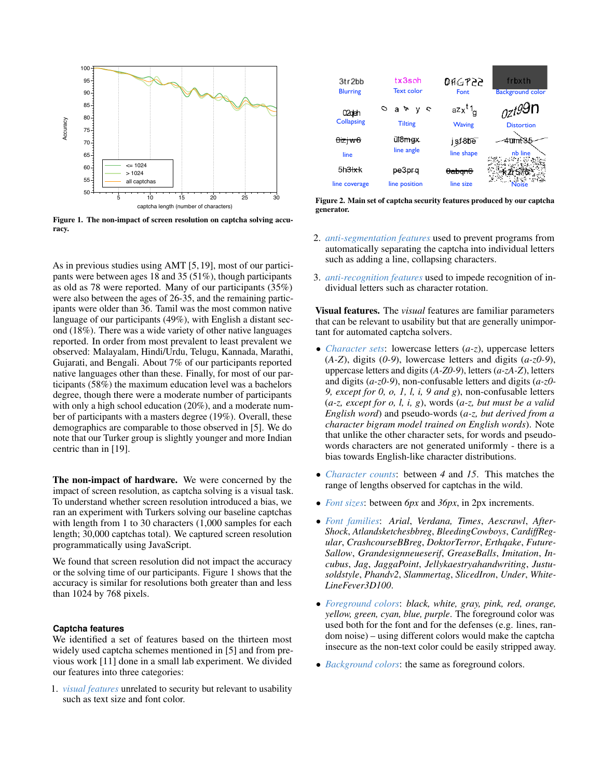

Figure 1. The non-impact of screen resolution on captcha solving accuracy.

As in previous studies using AMT [5, 19], most of our participants were between ages 18 and 35 (51%), though participants as old as 78 were reported. Many of our participants (35%) were also between the ages of 26-35, and the remaining participants were older than 36. Tamil was the most common native language of our participants (49%), with English a distant second (18%). There was a wide variety of other native languages reported. In order from most prevalent to least prevalent we observed: Malayalam, Hindi/Urdu, Telugu, Kannada, Marathi, Gujarati, and Bengali. About 7% of our participants reported native languages other than these. Finally, for most of our participants (58%) the maximum education level was a bachelors degree, though there were a moderate number of participants with only a high school education (20%), and a moderate number of participants with a masters degree (19%). Overall, these demographics are comparable to those observed in [5]. We do note that our Turker group is slightly younger and more Indian centric than in [19].

The non-impact of hardware. We were concerned by the impact of screen resolution, as captcha solving is a visual task. To understand whether screen resolution introduced a bias, we ran an experiment with Turkers solving our baseline captchas with length from 1 to 30 characters  $(1,000)$  samples for each length; 30,000 captchas total). We captured screen resolution programmatically using JavaScript.

We found that screen resolution did not impact the accuracy or the solving time of our participants. Figure 1 shows that the accuracy is similar for resolutions both greater than and less than 1024 by 768 pixels.

## **Captcha features**

We identified a set of features based on the thirteen most widely used captcha schemes mentioned in [5] and from previous work [11] done in a small lab experiment. We divided our features into three categories:

1. *visual features* unrelated to security but relevant to usability such as text size and font color.

| 3tr2bb<br><b>Blurring</b>  | tx3soh<br><b>Text color</b>      | 016722<br>Font      | frbxth<br><b>Background color</b> |
|----------------------------|----------------------------------|---------------------|-----------------------------------|
| 02deh<br><b>Collapsing</b> | $\circ$ a $\circ$<br>$\sim$<br>v | azx <sup>t1</sup> a | $0$ zł $99$ N                     |
|                            | <b>Tilting</b>                   | <b>Waving</b>       | <b>Distortion</b>                 |
| <del>0izjw6</del>          | ūl8 <del>mgx</del>               | jsf8be              |                                   |
| line                       | line angle                       | line shape          | nb line                           |
| 5h3k                       | ne3nra                           | <del>uabqno</del>   |                                   |
| line coverage              | line position                    | line size           |                                   |

Figure 2. Main set of captcha security features produced by our captcha generator.

- 2. *anti-segmentation features* used to prevent programs from automatically separating the captcha into individual letters such as adding a line, collapsing characters.
- 3. *anti-recognition features* used to impede recognition of individual letters such as character rotation.

Visual features. The *visual* features are familiar parameters that can be relevant to usability but that are generally unimportant for automated captcha solvers.

- *• Character sets*: lowercase letters (*a-z*), uppercase letters (*A-Z*), digits (*0-9*), lowercase letters and digits (*a-z0-9*), uppercase letters and digits (*A-Z0-9*), letters (*a-zA-Z*), letters and digits (*a-z0-9*), non-confusable letters and digits (*a-z0- 9, except for 0, o, 1, l, i, 9 and g*), non-confusable letters (*a-z, except for o, l, i, g*), words (*a-z, but must be a valid English word*) and pseudo-words (*a-z, but derived from a character bigram model trained on English words*). Note that unlike the other character sets, for words and pseudowords characters are not generated uniformly - there is a bias towards English-like character distributions.
- *• Character counts*: between *4* and *15*. This matches the range of lengths observed for captchas in the wild.
- *• Font sizes*: between *6px* and *36px*, in 2px increments.
- *• Font families*: *Arial*, *Verdana, Times*, *Aescrawl*, *After-Shock*, *Atlandsketchesbbreg*, *BleedingCowboys*, *CardiffRegular*, *CrashcourseBBreg*, *DoktorTerror*, *Erthqake*, *Future-Sallow*, *Grandesignneueserif*, *GreaseBalls*, *Imitation*, *Incubus*, *Jag*, *JaggaPoint*, *Jellykaestryahandwriting*, *Justusoldstyle*, *Phandv2*, *Slammertag*, *SlicedIron*, *Under*, *White-LineFever3D100*.
- *• Foreground colors*: *black, white, gray, pink, red, orange, yellow, green, cyan, blue, purple*. The foreground color was used both for the font and for the defenses (e.g. lines, random noise) – using different colors would make the captcha insecure as the non-text color could be easily stripped away.
- *• Background colors*: the same as foreground colors.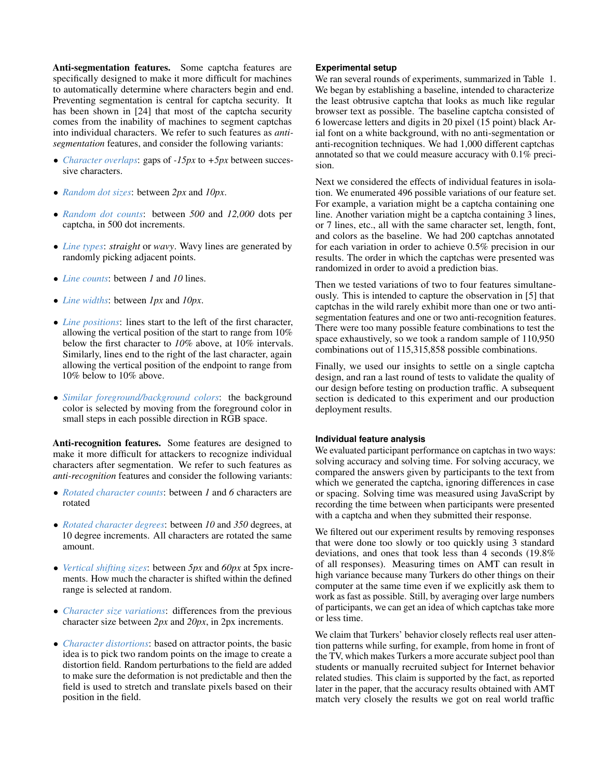Anti-segmentation features. Some captcha features are specifically designed to make it more difficult for machines to automatically determine where characters begin and end. Preventing segmentation is central for captcha security. It has been shown in [24] that most of the captcha security comes from the inability of machines to segment captchas into individual characters. We refer to such features as *antisegmentation* features, and consider the following variants:

- *• Character overlaps*: gaps of *-15px* to *+5px* between successive characters.
- *• Random dot sizes*: between *2px* and *10px*.
- *• Random dot counts*: between *500* and *12,000* dots per captcha, in 500 dot increments.
- *• Line types*: *straight* or *wavy*. Wavy lines are generated by randomly picking adjacent points.
- *• Line counts*: between *1* and *10* lines.
- *• Line widths*: between *1px* and *10px*.
- *• Line positions*: lines start to the left of the first character, allowing the vertical position of the start to range from 10% below the first character to *10%* above, at 10% intervals. Similarly, lines end to the right of the last character, again allowing the vertical position of the endpoint to range from 10% below to 10% above.
- *• Similar foreground/background colors*: the background color is selected by moving from the foreground color in small steps in each possible direction in RGB space.

Anti-recognition features. Some features are designed to make it more difficult for attackers to recognize individual characters after segmentation. We refer to such features as *anti-recognition* features and consider the following variants:

- *• Rotated character counts*: between *1* and *6* characters are rotated
- *• Rotated character degrees*: between *10* and *350* degrees, at 10 degree increments. All characters are rotated the same amount.
- *• Vertical shifting sizes*: between *5px* and *60px* at 5px increments. How much the character is shifted within the defined range is selected at random.
- *• Character size variations*: differences from the previous character size between *2px* and *20px*, in 2px increments.
- *• Character distortions*: based on attractor points, the basic idea is to pick two random points on the image to create a distortion field. Random perturbations to the field are added to make sure the deformation is not predictable and then the field is used to stretch and translate pixels based on their position in the field.

#### **Experimental setup**

We ran several rounds of experiments, summarized in Table 1. We began by establishing a baseline, intended to characterize the least obtrusive captcha that looks as much like regular browser text as possible. The baseline captcha consisted of 6 lowercase letters and digits in 20 pixel (15 point) black Arial font on a white background, with no anti-segmentation or anti-recognition techniques. We had 1,000 different captchas annotated so that we could measure accuracy with 0.1% precision.

Next we considered the effects of individual features in isolation. We enumerated 496 possible variations of our feature set. For example, a variation might be a captcha containing one line. Another variation might be a captcha containing 3 lines, or 7 lines, etc., all with the same character set, length, font, and colors as the baseline. We had 200 captchas annotated for each variation in order to achieve 0.5% precision in our results. The order in which the captchas were presented was randomized in order to avoid a prediction bias.

Then we tested variations of two to four features simultaneously. This is intended to capture the observation in [5] that captchas in the wild rarely exhibit more than one or two antisegmentation features and one or two anti-recognition features. There were too many possible feature combinations to test the space exhaustively, so we took a random sample of 110,950 combinations out of 115,315,858 possible combinations.

Finally, we used our insights to settle on a single captcha design, and ran a last round of tests to validate the quality of our design before testing on production traffic. A subsequent section is dedicated to this experiment and our production deployment results.

#### **Individual feature analysis**

We evaluated participant performance on captchas in two ways: solving accuracy and solving time. For solving accuracy, we compared the answers given by participants to the text from which we generated the captcha, ignoring differences in case or spacing. Solving time was measured using JavaScript by recording the time between when participants were presented with a captcha and when they submitted their response.

We filtered out our experiment results by removing responses that were done too slowly or too quickly using 3 standard deviations, and ones that took less than 4 seconds (19.8% of all responses). Measuring times on AMT can result in high variance because many Turkers do other things on their computer at the same time even if we explicitly ask them to work as fast as possible. Still, by averaging over large numbers of participants, we can get an idea of which captchas take more or less time.

We claim that Turkers' behavior closely reflects real user attention patterns while surfing, for example, from home in front of the TV, which makes Turkers a more accurate subject pool than students or manually recruited subject for Internet behavior related studies. This claim is supported by the fact, as reported later in the paper, that the accuracy results obtained with AMT match very closely the results we got on real world traffic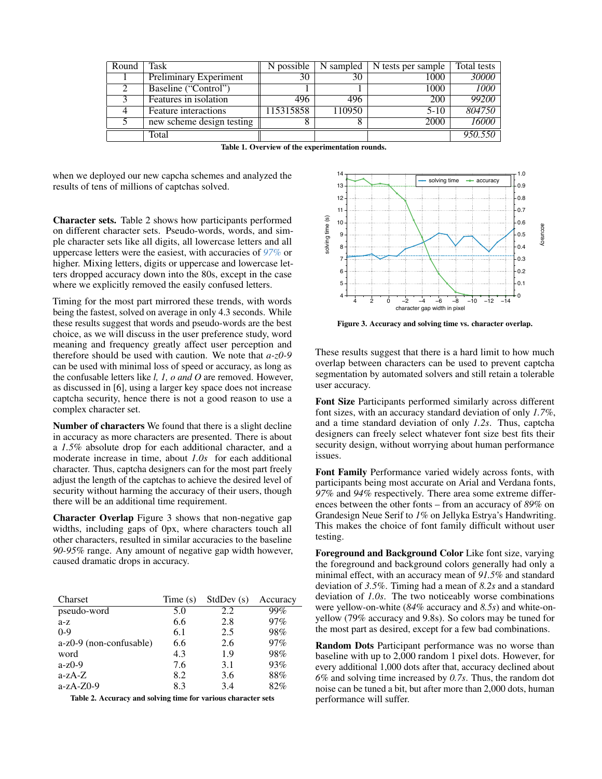| Round | Task                      | N possible | N sampled | N tests per sample | Total tests |
|-------|---------------------------|------------|-----------|--------------------|-------------|
|       | Preliminary Experiment    | 30         | 30        | 1000               | 30000       |
|       | Baseline ("Control")      |            |           | 1000               | 1000        |
|       | Features in isolation     | 496        | 496       | 200                | 99200       |
|       | Feature interactions      | 115315858  | 110950    | $5-10$             | 804750      |
|       | new scheme design testing |            |           | 2000               | 16000       |
|       | Total                     |            |           |                    | 950.550     |

| Table 1. Overview of the experimentation rounds. |  |  |  |  |  |
|--------------------------------------------------|--|--|--|--|--|
|--------------------------------------------------|--|--|--|--|--|

when we deployed our new capcha schemes and analyzed the results of tens of millions of captchas solved.

Character sets. Table 2 shows how participants performed on different character sets. Pseudo-words, words, and simple character sets like all digits, all lowercase letters and all uppercase letters were the easiest, with accuracies of *97%* or higher. Mixing letters, digits or uppercase and lowercase letters dropped accuracy down into the 80s, except in the case where we explicitly removed the easily confused letters.

Timing for the most part mirrored these trends, with words being the fastest, solved on average in only 4.3 seconds. While these results suggest that words and pseudo-words are the best choice, as we will discuss in the user preference study, word meaning and frequency greatly affect user perception and therefore should be used with caution. We note that *a-z0-9* can be used with minimal loss of speed or accuracy, as long as the confusable letters like *l, 1, o and O* are removed. However, as discussed in [6], using a larger key space does not increase captcha security, hence there is not a good reason to use a complex character set.

Number of characters We found that there is a slight decline in accuracy as more characters are presented. There is about a *1.5%* absolute drop for each additional character, and a moderate increase in time, about *1.0s* for each additional character. Thus, captcha designers can for the most part freely adjust the length of the captchas to achieve the desired level of security without harming the accuracy of their users, though there will be an additional time requirement.

Character Overlap Figure 3 shows that non-negative gap widths, including gaps of 0px, where characters touch all other characters, resulted in similar accuracies to the baseline *90-95%* range. Any amount of negative gap width however, caused dramatic drops in accuracy.

| Charset                   | Time $(s)$ | StdDev(s) | Accuracy |
|---------------------------|------------|-----------|----------|
| pseudo-word               | 5.0        | 2.2.      | 99%      |
| $a-z$                     | 6.6        | 2.8       | 97%      |
| $0 - 9$                   | 6.1        | 2.5       | 98%      |
| $a-z0-9$ (non-confusable) | 6.6        | 2.6       | 97%      |
| word                      | 4.3        | 1.9       | 98%      |
| $a-z$ $0-9$               | 7.6        | 3.1       | 93%      |
| $a$ -z $A$ -Z             | 8.2        | 3.6       | 88%      |
| $a$ -zA-Z0-9              | 8.3        | 3.4       | 82%      |

Table 2. Accuracy and solving time for various character sets



Figure 3. Accuracy and solving time vs. character overlap.

These results suggest that there is a hard limit to how much overlap between characters can be used to prevent captcha segmentation by automated solvers and still retain a tolerable user accuracy.

Font Size Participants performed similarly across different font sizes, with an accuracy standard deviation of only *1.7%*, and a time standard deviation of only *1.2s*. Thus, captcha designers can freely select whatever font size best fits their security design, without worrying about human performance issues.

Font Family Performance varied widely across fonts, with participants being most accurate on Arial and Verdana fonts, *97%* and *94%* respectively. There area some extreme differences between the other fonts – from an accuracy of *89%* on Grandesign Neue Serif to *1%* on Jellyka Estrya's Handwriting. This makes the choice of font family difficult without user testing.

Foreground and Background Color Like font size, varying the foreground and background colors generally had only a minimal effect, with an accuracy mean of *91.5%* and standard deviation of *3.5%*. Timing had a mean of *8.2s* and a standard deviation of *1.0s*. The two noticeably worse combinations were yellow-on-white (*84%* accuracy and *8.5s*) and white-onyellow (79% accuracy and 9.8s). So colors may be tuned for the most part as desired, except for a few bad combinations.

Random Dots Participant performance was no worse than baseline with up to 2,000 random 1 pixel dots. However, for every additional 1,000 dots after that, accuracy declined about *6%* and solving time increased by *0.7s*. Thus, the random dot noise can be tuned a bit, but after more than 2,000 dots, human performance will suffer.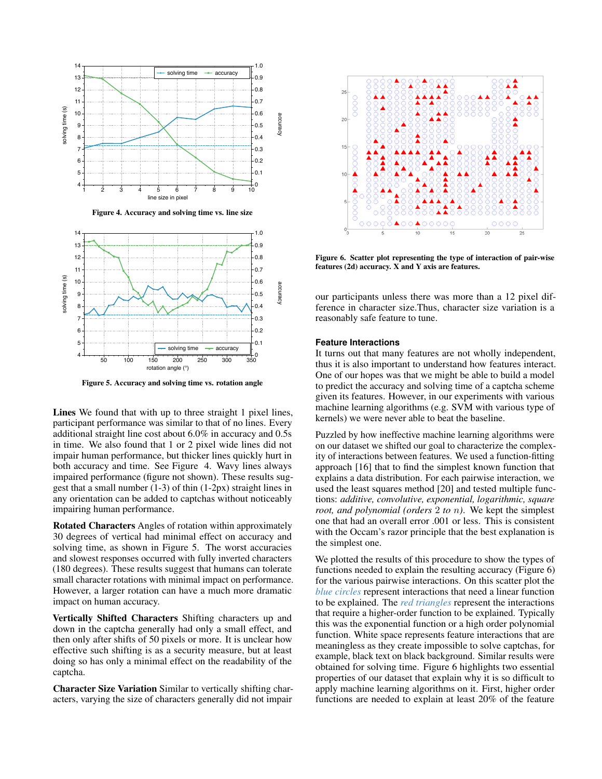

Figure 4. Accuracy and solving time vs. line size



Figure 5. Accuracy and solving time vs. rotation angle

Lines We found that with up to three straight 1 pixel lines, participant performance was similar to that of no lines. Every additional straight line cost about 6.0% in accuracy and 0.5s in time. We also found that 1 or 2 pixel wide lines did not impair human performance, but thicker lines quickly hurt in both accuracy and time. See Figure 4. Wavy lines always impaired performance (figure not shown). These results suggest that a small number (1-3) of thin (1-2px) straight lines in any orientation can be added to captchas without noticeably impairing human performance.

Rotated Characters Angles of rotation within approximately 30 degrees of vertical had minimal effect on accuracy and solving time, as shown in Figure 5. The worst accuracies and slowest responses occurred with fully inverted characters (180 degrees). These results suggest that humans can tolerate small character rotations with minimal impact on performance. However, a larger rotation can have a much more dramatic impact on human accuracy.

Vertically Shifted Characters Shifting characters up and down in the captcha generally had only a small effect, and then only after shifts of 50 pixels or more. It is unclear how effective such shifting is as a security measure, but at least doing so has only a minimal effect on the readability of the captcha.

Character Size Variation Similar to vertically shifting characters, varying the size of characters generally did not impair



Figure 6. Scatter plot representing the type of interaction of pair-wise features (2d) accuracy. X and Y axis are features.

our participants unless there was more than a 12 pixel difference in character size.Thus, character size variation is a reasonably safe feature to tune.

#### **Feature Interactions**

It turns out that many features are not wholly independent, thus it is also important to understand how features interact. One of our hopes was that we might be able to build a model to predict the accuracy and solving time of a captcha scheme given its features. However, in our experiments with various machine learning algorithms (e.g. SVM with various type of kernels) we were never able to beat the baseline.

Puzzled by how ineffective machine learning algorithms were on our dataset we shifted our goal to characterize the complexity of interactions between features. We used a function-fitting approach [16] that to find the simplest known function that explains a data distribution. For each pairwise interaction, we used the least squares method [20] and tested multiple functions: *additive, convolutive, exponential, logarithmic, square root, and polynomial (orders* 2 *to n)*. We kept the simplest one that had an overall error .001 or less. This is consistent with the Occam's razor principle that the best explanation is the simplest one.

We plotted the results of this procedure to show the types of functions needed to explain the resulting accuracy (Figure 6) for the various pairwise interactions. On this scatter plot the *blue circles* represent interactions that need a linear function to be explained. The *red triangles* represent the interactions that require a higher-order function to be explained. Typically this was the exponential function or a high order polynomial function. White space represents feature interactions that are meaningless as they create impossible to solve captchas, for example, black text on black background. Similar results were obtained for solving time. Figure 6 highlights two essential properties of our dataset that explain why it is so difficult to apply machine learning algorithms on it. First, higher order functions are needed to explain at least 20% of the feature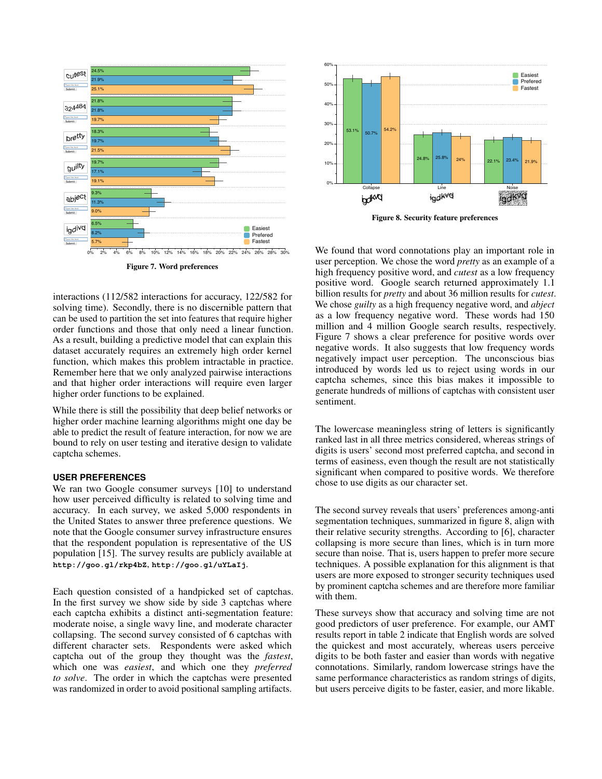



Figure 8. Security feature preferences

Figure 7. Word preferences

interactions (112/582 interactions for accuracy, 122/582 for solving time). Secondly, there is no discernible pattern that can be used to partition the set into features that require higher order functions and those that only need a linear function. As a result, building a predictive model that can explain this dataset accurately requires an extremely high order kernel function, which makes this problem intractable in practice. Remember here that we only analyzed pairwise interactions and that higher order interactions will require even larger higher order functions to be explained.

While there is still the possibility that deep belief networks or higher order machine learning algorithms might one day be able to predict the result of feature interaction, for now we are bound to rely on user testing and iterative design to validate captcha schemes.

#### **USER PREFERENCES**

We ran two Google consumer surveys [10] to understand how user perceived difficulty is related to solving time and accuracy. In each survey, we asked 5,000 respondents in the United States to answer three preference questions. We note that the Google consumer survey infrastructure ensures that the respondent population is representative of the US population [15]. The survey results are publicly available at **http://goo.gl/rkp4bZ**, **http://goo.gl/uYLaIj**.

Each question consisted of a handpicked set of captchas. In the first survey we show side by side 3 captchas where each captcha exhibits a distinct anti-segmentation feature: moderate noise, a single wavy line, and moderate character collapsing. The second survey consisted of 6 captchas with different character sets. Respondents were asked which captcha out of the group they thought was the *fastest*, which one was *easiest*, and which one they *preferred to solve*. The order in which the captchas were presented was randomized in order to avoid positional sampling artifacts.

We found that word connotations play an important role in user perception. We chose the word *pretty* as an example of a high frequency positive word, and *cutest* as a low frequency positive word. Google search returned approximately 1.1 billion results for *pretty* and about 36 million results for *cutest*. We chose *guilty* as a high frequency negative word, and *abject* as a low frequency negative word. These words had 150 million and 4 million Google search results, respectively. Figure 7 shows a clear preference for positive words over negative words. It also suggests that low frequency words negatively impact user perception. The unconscious bias introduced by words led us to reject using words in our captcha schemes, since this bias makes it impossible to generate hundreds of millions of captchas with consistent user sentiment.

The lowercase meaningless string of letters is significantly ranked last in all three metrics considered, whereas strings of digits is users' second most preferred captcha, and second in terms of easiness, even though the result are not statistically significant when compared to positive words. We therefore chose to use digits as our character set.

The second survey reveals that users' preferences among-anti segmentation techniques, summarized in figure 8, align with their relative security strengths. According to [6], character collapsing is more secure than lines, which is in turn more secure than noise. That is, users happen to prefer more secure techniques. A possible explanation for this alignment is that users are more exposed to stronger security techniques used by prominent captcha schemes and are therefore more familiar with them.

These surveys show that accuracy and solving time are not good predictors of user preference. For example, our AMT results report in table 2 indicate that English words are solved the quickest and most accurately, whereas users perceive digits to be both faster and easier than words with negative connotations. Similarly, random lowercase strings have the same performance characteristics as random strings of digits, but users perceive digits to be faster, easier, and more likable.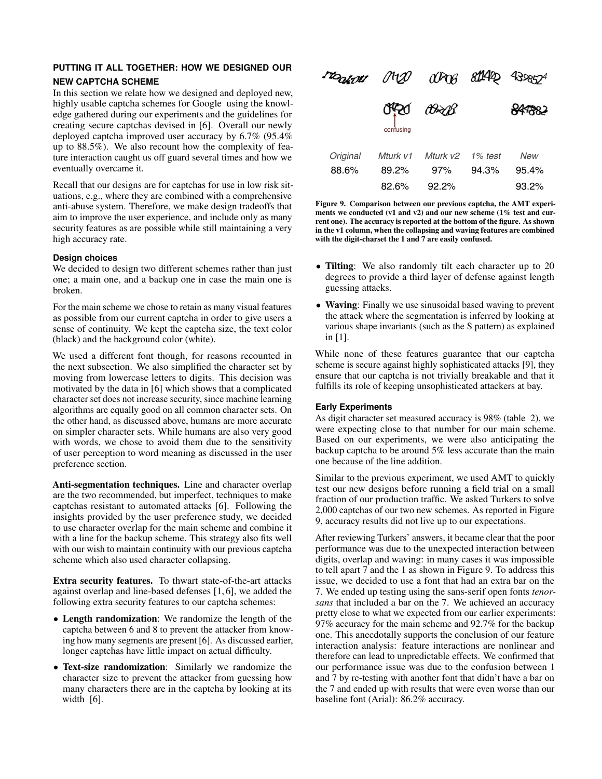# **PUTTING IT ALL TOGETHER: HOW WE DESIGNED OUR NEW CAPTCHA SCHEME**

In this section we relate how we designed and deployed new, highly usable captcha schemes for Google using the knowledge gathered during our experiments and the guidelines for creating secure captchas devised in [6]. Overall our newly deployed captcha improved user accuracy by 6.7% (95.4% up to 88.5%). We also recount how the complexity of feature interaction caught us off guard several times and how we eventually overcame it.

Recall that our designs are for captchas for use in low risk situations, e.g., where they are combined with a comprehensive anti-abuse system. Therefore, we make design tradeoffs that aim to improve the user experience, and include only as many security features as are possible while still maintaining a very high accuracy rate.

# **Design choices**

We decided to design two different schemes rather than just one; a main one, and a backup one in case the main one is broken.

For the main scheme we chose to retain as many visual features as possible from our current captcha in order to give users a sense of continuity. We kept the captcha size, the text color (black) and the background color (white).

We used a different font though, for reasons recounted in the next subsection. We also simplified the character set by moving from lowercase letters to digits. This decision was motivated by the data in [6] which shows that a complicated character set does not increase security, since machine learning algorithms are equally good on all common character sets. On the other hand, as discussed above, humans are more accurate on simpler character sets. While humans are also very good with words, we chose to avoid them due to the sensitivity of user perception to word meaning as discussed in the user preference section.

Anti-segmentation techniques. Line and character overlap are the two recommended, but imperfect, techniques to make captchas resistant to automated attacks [6]. Following the insights provided by the user preference study, we decided to use character overlap for the main scheme and combine it with a line for the backup scheme. This strategy also fits well with our wish to maintain continuity with our previous captcha scheme which also used character collapsing.

Extra security features. To thwart state-of-the-art attacks against overlap and line-based defenses [1, 6], we added the following extra security features to our captcha schemes:

- *•* Length randomization: We randomize the length of the captcha between 6 and 8 to prevent the attacker from knowing how many segments are present [6]. As discussed earlier, longer captchas have little impact on actual difficulty.
- *•* Text-size randomization: Similarly we randomize the character size to prevent the attacker from guessing how many characters there are in the captcha by looking at its width [6].

| response MD WOG 81140 4398524 |           |                  |         |        |
|-------------------------------|-----------|------------------|---------|--------|
|                               | confusing | <b>OFZO BRAB</b> |         | 844882 |
| Original                      | Mturk v1  | Mturk v2         | 1% test | New    |
| 88.6%                         | 89.2%     | 97%              | 94.3%   | 95.4%  |
|                               | 82.6%     | 92.2%            |         | 93.2%  |

Figure 9. Comparison between our previous captcha, the AMT experiments we conducted (v1 and v2) and our new scheme  $(1\%$  test and current one). The accuracy is reported at the bottom of the figure. As shown in the v1 column, when the collapsing and waving features are combined with the digit-charset the 1 and 7 are easily confused.

- **Tilting**: We also randomly tilt each character up to 20 degrees to provide a third layer of defense against length guessing attacks.
- **Waving:** Finally we use sinusoidal based waving to prevent the attack where the segmentation is inferred by looking at various shape invariants (such as the S pattern) as explained in [1].

While none of these features guarantee that our captcha scheme is secure against highly sophisticated attacks [9], they ensure that our captcha is not trivially breakable and that it fulfills its role of keeping unsophisticated attackers at bay.

# **Early Experiments**

As digit character set measured accuracy is 98% (table 2), we were expecting close to that number for our main scheme. Based on our experiments, we were also anticipating the backup captcha to be around 5% less accurate than the main one because of the line addition.

Similar to the previous experiment, we used AMT to quickly test our new designs before running a field trial on a small fraction of our production traffic. We asked Turkers to solve 2,000 captchas of our two new schemes. As reported in Figure 9, accuracy results did not live up to our expectations.

After reviewing Turkers' answers, it became clear that the poor performance was due to the unexpected interaction between digits, overlap and waving: in many cases it was impossible to tell apart 7 and the 1 as shown in Figure 9. To address this issue, we decided to use a font that had an extra bar on the 7. We ended up testing using the sans-serif open fonts *tenorsans* that included a bar on the 7. We achieved an accuracy pretty close to what we expected from our earlier experiments: 97% accuracy for the main scheme and 92.7% for the backup one. This anecdotally supports the conclusion of our feature interaction analysis: feature interactions are nonlinear and therefore can lead to unpredictable effects. We confirmed that our performance issue was due to the confusion between 1 and 7 by re-testing with another font that didn't have a bar on the 7 and ended up with results that were even worse than our baseline font (Arial): 86.2% accuracy.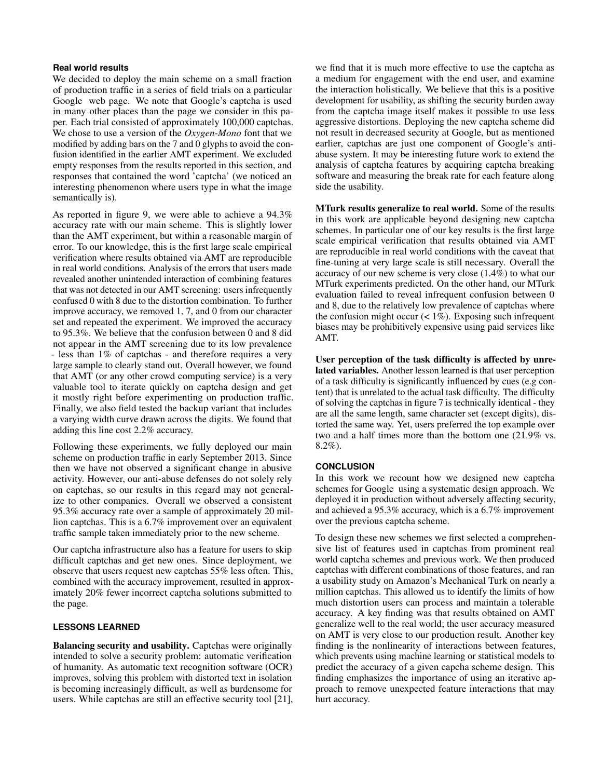# **Real world results**

We decided to deploy the main scheme on a small fraction of production traffic in a series of field trials on a particular Google web page. We note that Google's captcha is used in many other places than the page we consider in this paper. Each trial consisted of approximately 100,000 captchas. We chose to use a version of the *Oxygen-Mono* font that we modified by adding bars on the 7 and 0 glyphs to avoid the confusion identified in the earlier AMT experiment. We excluded empty responses from the results reported in this section, and responses that contained the word 'captcha' (we noticed an interesting phenomenon where users type in what the image semantically is).

As reported in figure 9, we were able to achieve a 94.3% accuracy rate with our main scheme. This is slightly lower than the AMT experiment, but within a reasonable margin of error. To our knowledge, this is the first large scale empirical verification where results obtained via AMT are reproducible in real world conditions. Analysis of the errors that users made revealed another unintended interaction of combining features that was not detected in our AMT screening: users infrequently confused 0 with 8 due to the distortion combination. To further improve accuracy, we removed 1, 7, and 0 from our character set and repeated the experiment. We improved the accuracy to 95.3%. We believe that the confusion between 0 and 8 did not appear in the AMT screening due to its low prevalence - less than 1% of captchas - and therefore requires a very large sample to clearly stand out. Overall however, we found that AMT (or any other crowd computing service) is a very valuable tool to iterate quickly on captcha design and get it mostly right before experimenting on production traffic. Finally, we also field tested the backup variant that includes a varying width curve drawn across the digits. We found that adding this line cost 2.2% accuracy.

Following these experiments, we fully deployed our main scheme on production traffic in early September 2013. Since then we have not observed a significant change in abusive activity. However, our anti-abuse defenses do not solely rely on captchas, so our results in this regard may not generalize to other companies. Overall we observed a consistent 95.3% accuracy rate over a sample of approximately 20 million captchas. This is a 6.7% improvement over an equivalent traffic sample taken immediately prior to the new scheme.

Our captcha infrastructure also has a feature for users to skip difficult captchas and get new ones. Since deployment, we observe that users request new captchas 55% less often. This, combined with the accuracy improvement, resulted in approximately 20% fewer incorrect captcha solutions submitted to the page.

# **LESSONS LEARNED**

Balancing security and usability. Captchas were originally intended to solve a security problem: automatic verification of humanity. As automatic text recognition software (OCR) improves, solving this problem with distorted text in isolation is becoming increasingly difficult, as well as burdensome for users. While captchas are still an effective security tool [21], we find that it is much more effective to use the captcha as a medium for engagement with the end user, and examine the interaction holistically. We believe that this is a positive development for usability, as shifting the security burden away from the captcha image itself makes it possible to use less aggressive distortions. Deploying the new captcha scheme did not result in decreased security at Google, but as mentioned earlier, captchas are just one component of Google's antiabuse system. It may be interesting future work to extend the analysis of captcha features by acquiring captcha breaking software and measuring the break rate for each feature along side the usability.

MTurk results generalize to real world. Some of the results in this work are applicable beyond designing new captcha schemes. In particular one of our key results is the first large scale empirical verification that results obtained via AMT are reproducible in real world conditions with the caveat that fine-tuning at very large scale is still necessary. Overall the accuracy of our new scheme is very close (1.4%) to what our MTurk experiments predicted. On the other hand, our MTurk evaluation failed to reveal infrequent confusion between 0 and 8, due to the relatively low prevalence of captchas where the confusion might occur  $(< 1\%)$ . Exposing such infrequent biases may be prohibitively expensive using paid services like AMT.

User perception of the task difficulty is affected by unrelated variables. Another lesson learned is that user perception of a task difficulty is significantly influenced by cues (e.g content) that is unrelated to the actual task difficulty. The difficulty of solving the captchas in figure 7 is technically identical - they are all the same length, same character set (except digits), distorted the same way. Yet, users preferred the top example over two and a half times more than the bottom one (21.9% vs.  $8.2\%$ ).

#### **CONCLUSION**

In this work we recount how we designed new captcha schemes for Google using a systematic design approach. We deployed it in production without adversely affecting security, and achieved a 95.3% accuracy, which is a 6.7% improvement over the previous captcha scheme.

To design these new schemes we first selected a comprehensive list of features used in captchas from prominent real world captcha schemes and previous work. We then produced captchas with different combinations of those features, and ran a usability study on Amazon's Mechanical Turk on nearly a million captchas. This allowed us to identify the limits of how much distortion users can process and maintain a tolerable accuracy. A key finding was that results obtained on AMT generalize well to the real world; the user accuracy measured on AMT is very close to our production result. Another key finding is the nonlinearity of interactions between features, which prevents using machine learning or statistical models to predict the accuracy of a given capcha scheme design. This finding emphasizes the importance of using an iterative approach to remove unexpected feature interactions that may hurt accuracy.